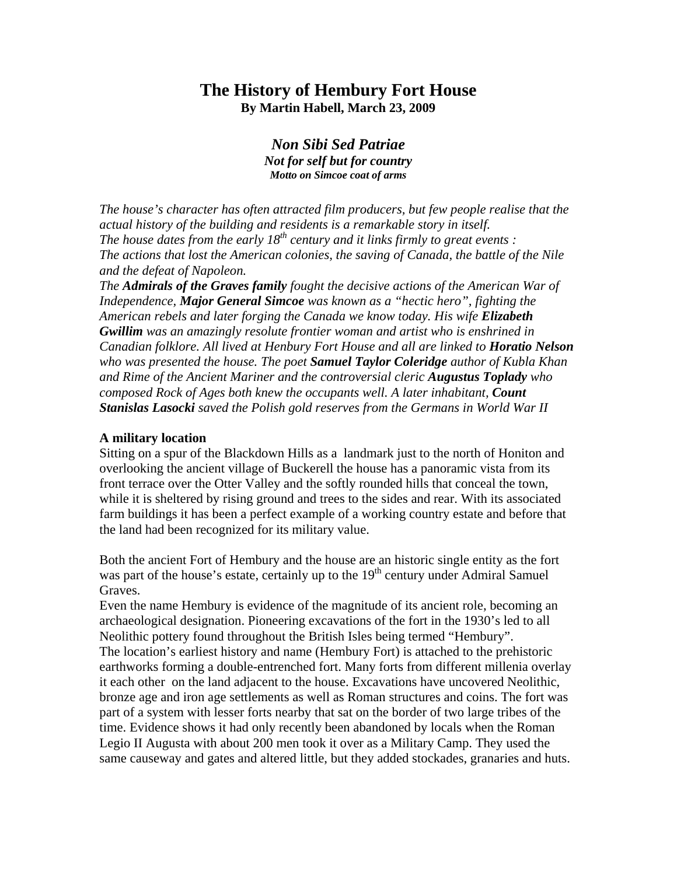# **The History of Hembury Fort House By Martin Habell, March 23, 2009**

*Non Sibi Sed Patriae Not for self but for country Motto on Simcoe coat of arms* 

*The house's character has often attracted film producers, but few people realise that the actual history of the building and residents is a remarkable story in itself. The house dates from the early 18<sup>th</sup> century and it links firmly to great events : The actions that lost the American colonies, the saving of Canada, the battle of the Nile and the defeat of Napoleon.* 

*The Admirals of the Graves family fought the decisive actions of the American War of Independence, Major General Simcoe was known as a "hectic hero", fighting the American rebels and later forging the Canada we know today. His wife Elizabeth Gwillim was an amazingly resolute frontier woman and artist who is enshrined in Canadian folklore. All lived at Henbury Fort House and all are linked to Horatio Nelson who was presented the house. The poet Samuel Taylor Coleridge author of Kubla Khan and Rime of the Ancient Mariner and the controversial cleric Augustus Toplady who composed Rock of Ages both knew the occupants well. A later inhabitant, Count Stanislas Lasocki saved the Polish gold reserves from the Germans in World War II* 

#### **A military location**

Sitting on a spur of the Blackdown Hills as a landmark just to the north of Honiton and overlooking the ancient village of Buckerell the house has a panoramic vista from its front terrace over the Otter Valley and the softly rounded hills that conceal the town, while it is sheltered by rising ground and trees to the sides and rear. With its associated farm buildings it has been a perfect example of a working country estate and before that the land had been recognized for its military value.

Both the ancient Fort of Hembury and the house are an historic single entity as the fort was part of the house's estate, certainly up to the  $19<sup>th</sup>$  century under Admiral Samuel Graves.

Even the name Hembury is evidence of the magnitude of its ancient role, becoming an archaeological designation. Pioneering excavations of the fort in the 1930's led to all Neolithic pottery found throughout the British Isles being termed "Hembury". The location's earliest history and name (Hembury Fort) is attached to the prehistoric earthworks forming a double-entrenched fort. Many forts from different millenia overlay it each other on the land adjacent to the house. Excavations have uncovered Neolithic, bronze age and iron age settlements as well as Roman structures and coins. The fort was part of a system with lesser forts nearby that sat on the border of two large tribes of the time. Evidence shows it had only recently been abandoned by locals when the Roman Legio II Augusta with about 200 men took it over as a Military Camp. They used the same causeway and gates and altered little, but they added stockades, granaries and huts.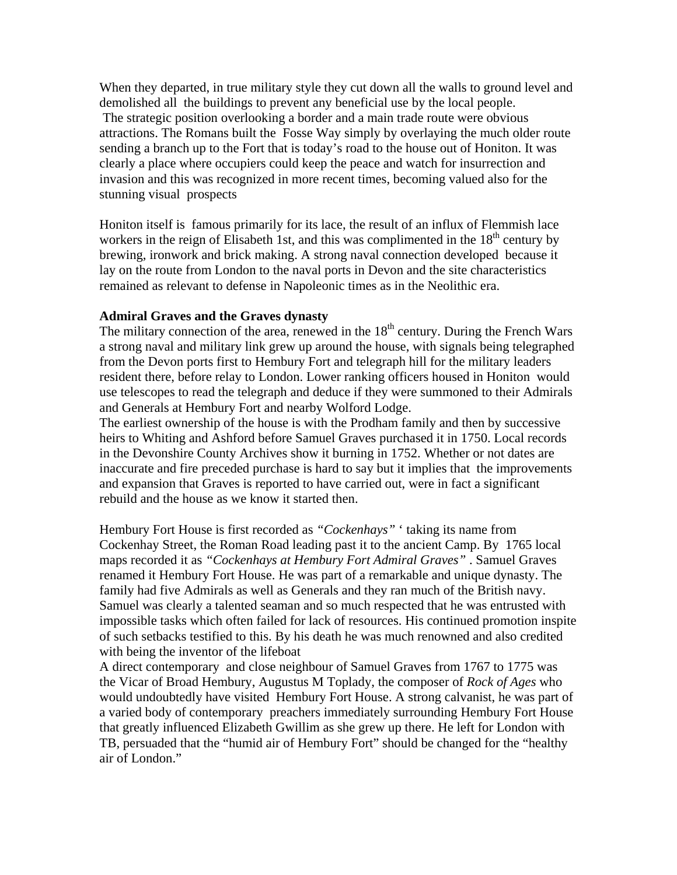When they departed, in true military style they cut down all the walls to ground level and demolished all the buildings to prevent any beneficial use by the local people. The strategic position overlooking a border and a main trade route were obvious attractions. The Romans built the Fosse Way simply by overlaying the much older route sending a branch up to the Fort that is today's road to the house out of Honiton. It was clearly a place where occupiers could keep the peace and watch for insurrection and invasion and this was recognized in more recent times, becoming valued also for the stunning visual prospects

Honiton itself is famous primarily for its lace, the result of an influx of Flemmish lace workers in the reign of Elisabeth 1st, and this was complimented in the  $18<sup>th</sup>$  century by brewing, ironwork and brick making. A strong naval connection developed because it lay on the route from London to the naval ports in Devon and the site characteristics remained as relevant to defense in Napoleonic times as in the Neolithic era.

#### **Admiral Graves and the Graves dynasty**

The military connection of the area, renewed in the  $18<sup>th</sup>$  century. During the French Wars a strong naval and military link grew up around the house, with signals being telegraphed from the Devon ports first to Hembury Fort and telegraph hill for the military leaders resident there, before relay to London. Lower ranking officers housed in Honiton would use telescopes to read the telegraph and deduce if they were summoned to their Admirals and Generals at Hembury Fort and nearby Wolford Lodge.

The earliest ownership of the house is with the Prodham family and then by successive heirs to Whiting and Ashford before Samuel Graves purchased it in 1750. Local records in the Devonshire County Archives show it burning in 1752. Whether or not dates are inaccurate and fire preceded purchase is hard to say but it implies that the improvements and expansion that Graves is reported to have carried out, were in fact a significant rebuild and the house as we know it started then.

Hembury Fort House is first recorded as *"Cockenhays"* ' taking its name from Cockenhay Street, the Roman Road leading past it to the ancient Camp. By 1765 local maps recorded it as *"Cockenhays at Hembury Fort Admiral Graves"* . Samuel Graves renamed it Hembury Fort House. He was part of a remarkable and unique dynasty. The family had five Admirals as well as Generals and they ran much of the British navy. Samuel was clearly a talented seaman and so much respected that he was entrusted with impossible tasks which often failed for lack of resources. His continued promotion inspite of such setbacks testified to this. By his death he was much renowned and also credited with being the inventor of the lifeboat

A direct contemporary and close neighbour of Samuel Graves from 1767 to 1775 was the Vicar of Broad Hembury, Augustus M Toplady, the composer of *Rock of Ages* who would undoubtedly have visited Hembury Fort House. A strong calvanist, he was part of a varied body of contemporary preachers immediately surrounding Hembury Fort House that greatly influenced Elizabeth Gwillim as she grew up there. He left for London with TB, persuaded that the "humid air of Hembury Fort" should be changed for the "healthy air of London."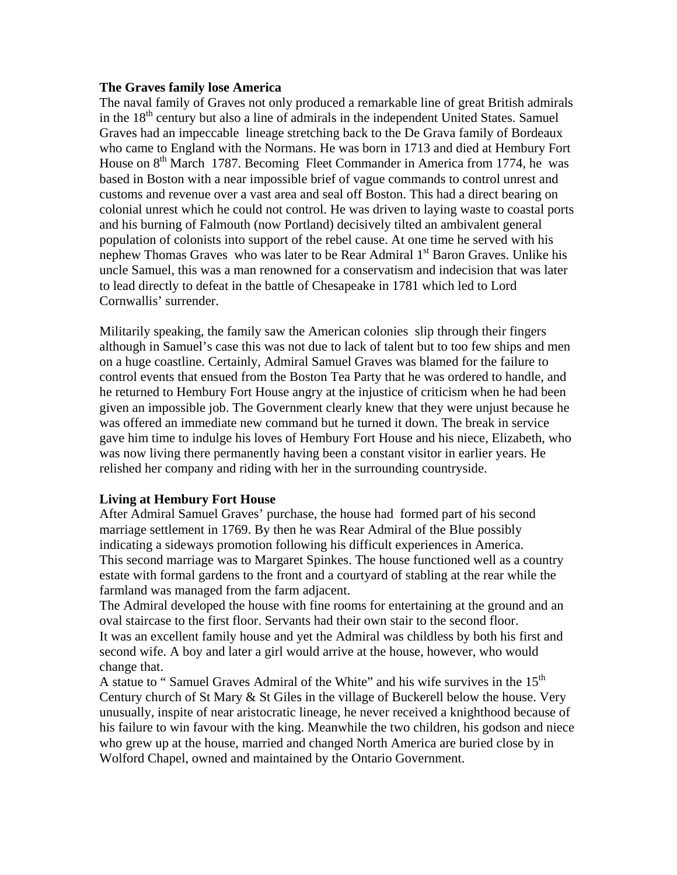### **The Graves family lose America**

The naval family of Graves not only produced a remarkable line of great British admirals in the 18<sup>th</sup> century but also a line of admirals in the independent United States. Samuel Graves had an impeccable lineage stretching back to the De Grava family of Bordeaux who came to England with the Normans. He was born in 1713 and died at Hembury Fort House on 8<sup>th</sup> March 1787. Becoming Fleet Commander in America from 1774, he was based in Boston with a near impossible brief of vague commands to control unrest and customs and revenue over a vast area and seal off Boston. This had a direct bearing on colonial unrest which he could not control. He was driven to laying waste to coastal ports and his burning of Falmouth (now Portland) decisively tilted an ambivalent general population of colonists into support of the rebel cause. At one time he served with his nephew Thomas Graves who was later to be Rear Admiral 1<sup>st</sup> Baron Graves. Unlike his uncle Samuel, this was a man renowned for a conservatism and indecision that was later to lead directly to defeat in the battle of Chesapeake in 1781 which led to Lord Cornwallis' surrender.

Militarily speaking, the family saw the American colonies slip through their fingers although in Samuel's case this was not due to lack of talent but to too few ships and men on a huge coastline. Certainly, Admiral Samuel Graves was blamed for the failure to control events that ensued from the Boston Tea Party that he was ordered to handle, and he returned to Hembury Fort House angry at the injustice of criticism when he had been given an impossible job. The Government clearly knew that they were unjust because he was offered an immediate new command but he turned it down. The break in service gave him time to indulge his loves of Hembury Fort House and his niece, Elizabeth, who was now living there permanently having been a constant visitor in earlier years. He relished her company and riding with her in the surrounding countryside.

## **Living at Hembury Fort House**

After Admiral Samuel Graves' purchase, the house had formed part of his second marriage settlement in 1769. By then he was Rear Admiral of the Blue possibly indicating a sideways promotion following his difficult experiences in America. This second marriage was to Margaret Spinkes. The house functioned well as a country estate with formal gardens to the front and a courtyard of stabling at the rear while the farmland was managed from the farm adjacent.

The Admiral developed the house with fine rooms for entertaining at the ground and an oval staircase to the first floor. Servants had their own stair to the second floor. It was an excellent family house and yet the Admiral was childless by both his first and second wife. A boy and later a girl would arrive at the house, however, who would change that.

A statue to "Samuel Graves Admiral of the White" and his wife survives in the  $15<sup>th</sup>$ Century church of St Mary & St Giles in the village of Buckerell below the house. Very unusually, inspite of near aristocratic lineage, he never received a knighthood because of his failure to win favour with the king. Meanwhile the two children, his godson and niece who grew up at the house, married and changed North America are buried close by in Wolford Chapel, owned and maintained by the Ontario Government.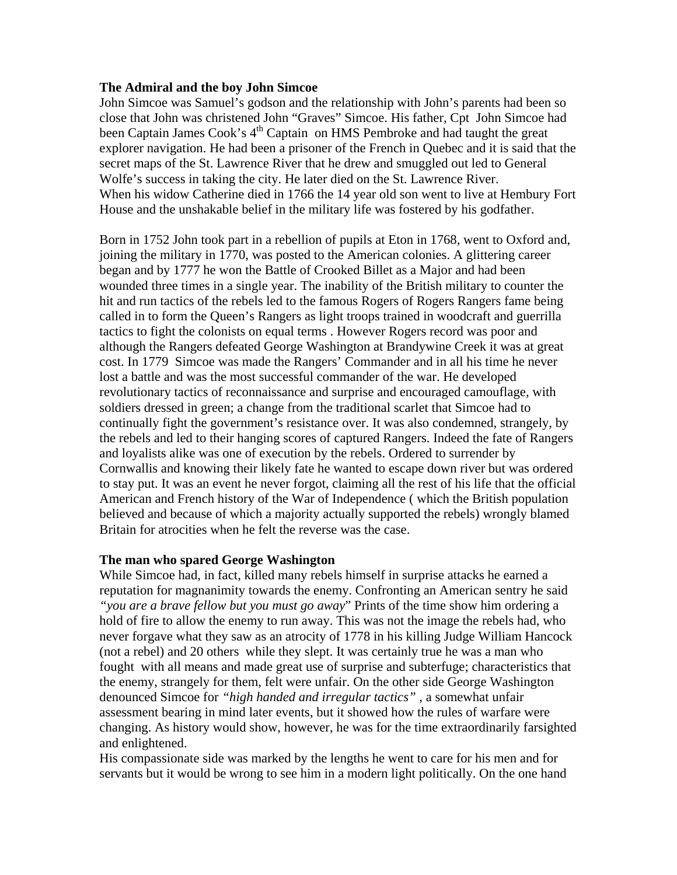## **The Admiral and the boy John Simcoe**

John Simcoe was Samuel's godson and the relationship with John's parents had been so close that John was christened John "Graves" Simcoe. His father, Cpt John Simcoe had been Captain James Cook's  $4<sup>th</sup>$  Captain on HMS Pembroke and had taught the great explorer navigation. He had been a prisoner of the French in Quebec and it is said that the secret maps of the St. Lawrence River that he drew and smuggled out led to General Wolfe's success in taking the city. He later died on the St. Lawrence River. When his widow Catherine died in 1766 the 14 year old son went to live at Hembury Fort House and the unshakable belief in the military life was fostered by his godfather.

Born in 1752 John took part in a rebellion of pupils at Eton in 1768, went to Oxford and, joining the military in 1770, was posted to the American colonies. A glittering career began and by 1777 he won the Battle of Crooked Billet as a Major and had been wounded three times in a single year. The inability of the British military to counter the hit and run tactics of the rebels led to the famous Rogers of Rogers Rangers fame being called in to form the Queen's Rangers as light troops trained in woodcraft and guerrilla tactics to fight the colonists on equal terms . However Rogers record was poor and although the Rangers defeated George Washington at Brandywine Creek it was at great cost. In 1779 Simcoe was made the Rangers' Commander and in all his time he never lost a battle and was the most successful commander of the war. He developed revolutionary tactics of reconnaissance and surprise and encouraged camouflage, with soldiers dressed in green; a change from the traditional scarlet that Simcoe had to continually fight the government's resistance over. It was also condemned, strangely, by the rebels and led to their hanging scores of captured Rangers. Indeed the fate of Rangers and loyalists alike was one of execution by the rebels. Ordered to surrender by Cornwallis and knowing their likely fate he wanted to escape down river but was ordered to stay put. It was an event he never forgot, claiming all the rest of his life that the official American and French history of the War of Independence ( which the British population believed and because of which a majority actually supported the rebels) wrongly blamed Britain for atrocities when he felt the reverse was the case.

## **The man who spared George Washington**

While Simcoe had, in fact, killed many rebels himself in surprise attacks he earned a reputation for magnanimity towards the enemy. Confronting an American sentry he said *"you are a brave fellow but you must go away*" Prints of the time show him ordering a hold of fire to allow the enemy to run away. This was not the image the rebels had, who never forgave what they saw as an atrocity of 1778 in his killing Judge William Hancock (not a rebel) and 20 others while they slept. It was certainly true he was a man who fought with all means and made great use of surprise and subterfuge; characteristics that the enemy, strangely for them, felt were unfair. On the other side George Washington denounced Simcoe for *"high handed and irregular tactics"* , a somewhat unfair assessment bearing in mind later events, but it showed how the rules of warfare were changing. As history would show, however, he was for the time extraordinarily farsighted and enlightened.

His compassionate side was marked by the lengths he went to care for his men and for servants but it would be wrong to see him in a modern light politically. On the one hand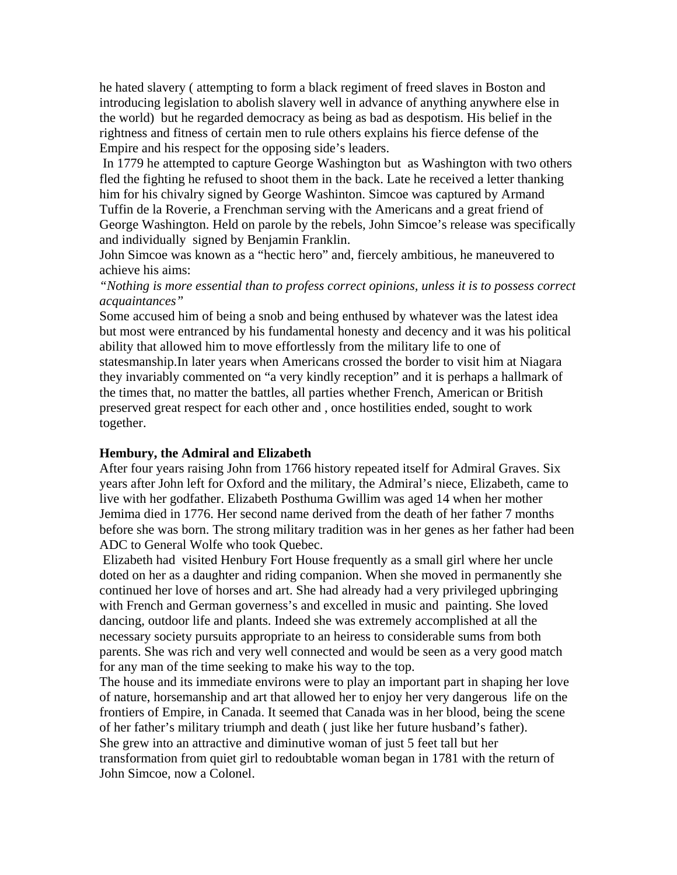he hated slavery ( attempting to form a black regiment of freed slaves in Boston and introducing legislation to abolish slavery well in advance of anything anywhere else in the world) but he regarded democracy as being as bad as despotism. His belief in the rightness and fitness of certain men to rule others explains his fierce defense of the Empire and his respect for the opposing side's leaders.

 In 1779 he attempted to capture George Washington but as Washington with two others fled the fighting he refused to shoot them in the back. Late he received a letter thanking him for his chivalry signed by George Washinton. Simcoe was captured by Armand Tuffin de la Roverie, a Frenchman serving with the Americans and a great friend of George Washington. Held on parole by the rebels, John Simcoe's release was specifically and individually signed by Benjamin Franklin.

John Simcoe was known as a "hectic hero" and, fiercely ambitious, he maneuvered to achieve his aims:

*"Nothing is more essential than to profess correct opinions, unless it is to possess correct acquaintances"* 

Some accused him of being a snob and being enthused by whatever was the latest idea but most were entranced by his fundamental honesty and decency and it was his political ability that allowed him to move effortlessly from the military life to one of statesmanship.In later years when Americans crossed the border to visit him at Niagara they invariably commented on "a very kindly reception" and it is perhaps a hallmark of the times that, no matter the battles, all parties whether French, American or British preserved great respect for each other and , once hostilities ended, sought to work together.

#### **Hembury, the Admiral and Elizabeth**

After four years raising John from 1766 history repeated itself for Admiral Graves. Six years after John left for Oxford and the military, the Admiral's niece, Elizabeth, came to live with her godfather. Elizabeth Posthuma Gwillim was aged 14 when her mother Jemima died in 1776. Her second name derived from the death of her father 7 months before she was born. The strong military tradition was in her genes as her father had been ADC to General Wolfe who took Quebec.

 Elizabeth had visited Henbury Fort House frequently as a small girl where her uncle doted on her as a daughter and riding companion. When she moved in permanently she continued her love of horses and art. She had already had a very privileged upbringing with French and German governess's and excelled in music and painting. She loved dancing, outdoor life and plants. Indeed she was extremely accomplished at all the necessary society pursuits appropriate to an heiress to considerable sums from both parents. She was rich and very well connected and would be seen as a very good match for any man of the time seeking to make his way to the top.

The house and its immediate environs were to play an important part in shaping her love of nature, horsemanship and art that allowed her to enjoy her very dangerous life on the frontiers of Empire, in Canada. It seemed that Canada was in her blood, being the scene of her father's military triumph and death ( just like her future husband's father). She grew into an attractive and diminutive woman of just 5 feet tall but her transformation from quiet girl to redoubtable woman began in 1781 with the return of John Simcoe, now a Colonel.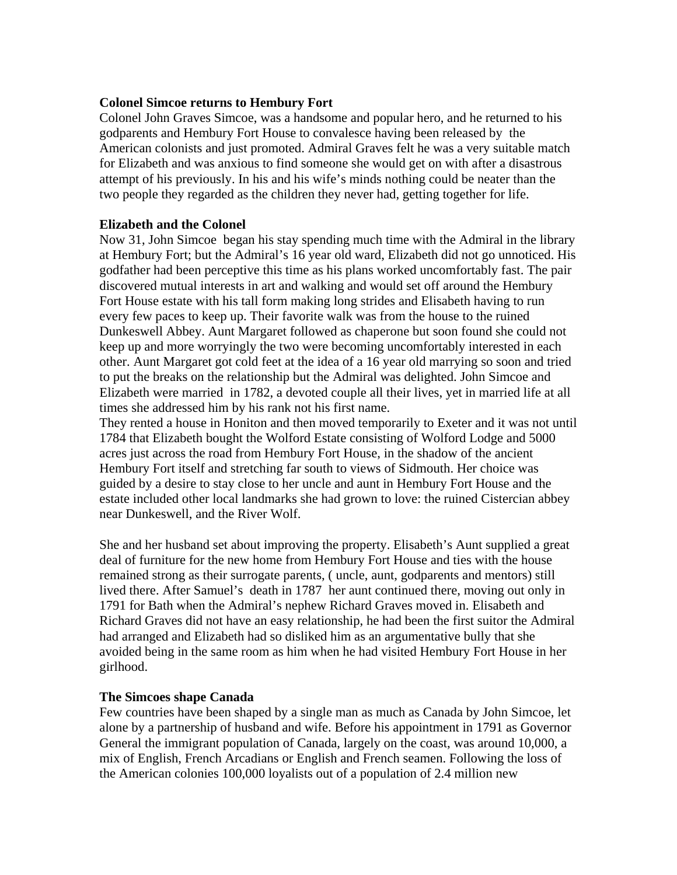### **Colonel Simcoe returns to Hembury Fort**

Colonel John Graves Simcoe, was a handsome and popular hero, and he returned to his godparents and Hembury Fort House to convalesce having been released by the American colonists and just promoted. Admiral Graves felt he was a very suitable match for Elizabeth and was anxious to find someone she would get on with after a disastrous attempt of his previously. In his and his wife's minds nothing could be neater than the two people they regarded as the children they never had, getting together for life.

#### **Elizabeth and the Colonel**

Now 31, John Simcoe began his stay spending much time with the Admiral in the library at Hembury Fort; but the Admiral's 16 year old ward, Elizabeth did not go unnoticed. His godfather had been perceptive this time as his plans worked uncomfortably fast. The pair discovered mutual interests in art and walking and would set off around the Hembury Fort House estate with his tall form making long strides and Elisabeth having to run every few paces to keep up. Their favorite walk was from the house to the ruined Dunkeswell Abbey. Aunt Margaret followed as chaperone but soon found she could not keep up and more worryingly the two were becoming uncomfortably interested in each other. Aunt Margaret got cold feet at the idea of a 16 year old marrying so soon and tried to put the breaks on the relationship but the Admiral was delighted. John Simcoe and Elizabeth were married in 1782, a devoted couple all their lives, yet in married life at all times she addressed him by his rank not his first name.

They rented a house in Honiton and then moved temporarily to Exeter and it was not until 1784 that Elizabeth bought the Wolford Estate consisting of Wolford Lodge and 5000 acres just across the road from Hembury Fort House, in the shadow of the ancient Hembury Fort itself and stretching far south to views of Sidmouth. Her choice was guided by a desire to stay close to her uncle and aunt in Hembury Fort House and the estate included other local landmarks she had grown to love: the ruined Cistercian abbey near Dunkeswell, and the River Wolf.

She and her husband set about improving the property. Elisabeth's Aunt supplied a great deal of furniture for the new home from Hembury Fort House and ties with the house remained strong as their surrogate parents, ( uncle, aunt, godparents and mentors) still lived there. After Samuel's death in 1787 her aunt continued there, moving out only in 1791 for Bath when the Admiral's nephew Richard Graves moved in. Elisabeth and Richard Graves did not have an easy relationship, he had been the first suitor the Admiral had arranged and Elizabeth had so disliked him as an argumentative bully that she avoided being in the same room as him when he had visited Hembury Fort House in her girlhood.

## **The Simcoes shape Canada**

Few countries have been shaped by a single man as much as Canada by John Simcoe, let alone by a partnership of husband and wife. Before his appointment in 1791 as Governor General the immigrant population of Canada, largely on the coast, was around 10,000, a mix of English, French Arcadians or English and French seamen. Following the loss of the American colonies 100,000 loyalists out of a population of 2.4 million new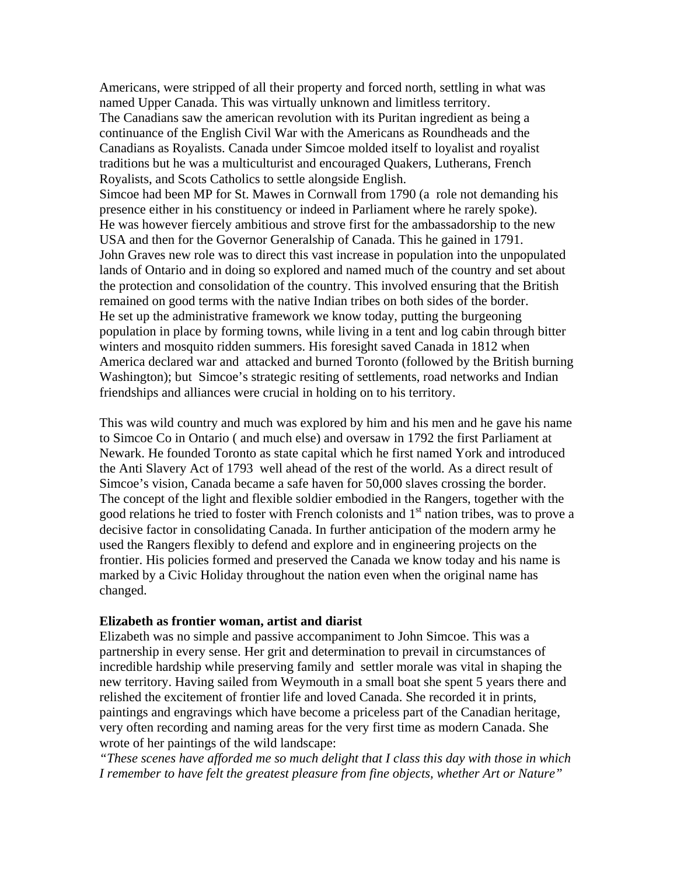Americans, were stripped of all their property and forced north, settling in what was named Upper Canada. This was virtually unknown and limitless territory. The Canadians saw the american revolution with its Puritan ingredient as being a continuance of the English Civil War with the Americans as Roundheads and the Canadians as Royalists. Canada under Simcoe molded itself to loyalist and royalist traditions but he was a multiculturist and encouraged Quakers, Lutherans, French Royalists, and Scots Catholics to settle alongside English. Simcoe had been MP for St. Mawes in Cornwall from 1790 (a role not demanding his presence either in his constituency or indeed in Parliament where he rarely spoke). He was however fiercely ambitious and strove first for the ambassadorship to the new USA and then for the Governor Generalship of Canada. This he gained in 1791. John Graves new role was to direct this vast increase in population into the unpopulated lands of Ontario and in doing so explored and named much of the country and set about the protection and consolidation of the country. This involved ensuring that the British remained on good terms with the native Indian tribes on both sides of the border. He set up the administrative framework we know today, putting the burgeoning population in place by forming towns, while living in a tent and log cabin through bitter winters and mosquito ridden summers. His foresight saved Canada in 1812 when America declared war and attacked and burned Toronto (followed by the British burning Washington); but Simcoe's strategic resiting of settlements, road networks and Indian friendships and alliances were crucial in holding on to his territory.

This was wild country and much was explored by him and his men and he gave his name to Simcoe Co in Ontario ( and much else) and oversaw in 1792 the first Parliament at Newark. He founded Toronto as state capital which he first named York and introduced the Anti Slavery Act of 1793 well ahead of the rest of the world. As a direct result of Simcoe's vision, Canada became a safe haven for 50,000 slaves crossing the border. The concept of the light and flexible soldier embodied in the Rangers, together with the good relations he tried to foster with French colonists and 1<sup>st</sup> nation tribes, was to prove a decisive factor in consolidating Canada. In further anticipation of the modern army he used the Rangers flexibly to defend and explore and in engineering projects on the frontier. His policies formed and preserved the Canada we know today and his name is marked by a Civic Holiday throughout the nation even when the original name has changed.

#### **Elizabeth as frontier woman, artist and diarist**

Elizabeth was no simple and passive accompaniment to John Simcoe. This was a partnership in every sense. Her grit and determination to prevail in circumstances of incredible hardship while preserving family and settler morale was vital in shaping the new territory. Having sailed from Weymouth in a small boat she spent 5 years there and relished the excitement of frontier life and loved Canada. She recorded it in prints, paintings and engravings which have become a priceless part of the Canadian heritage, very often recording and naming areas for the very first time as modern Canada. She wrote of her paintings of the wild landscape:

*"These scenes have afforded me so much delight that I class this day with those in which I remember to have felt the greatest pleasure from fine objects, whether Art or Nature"*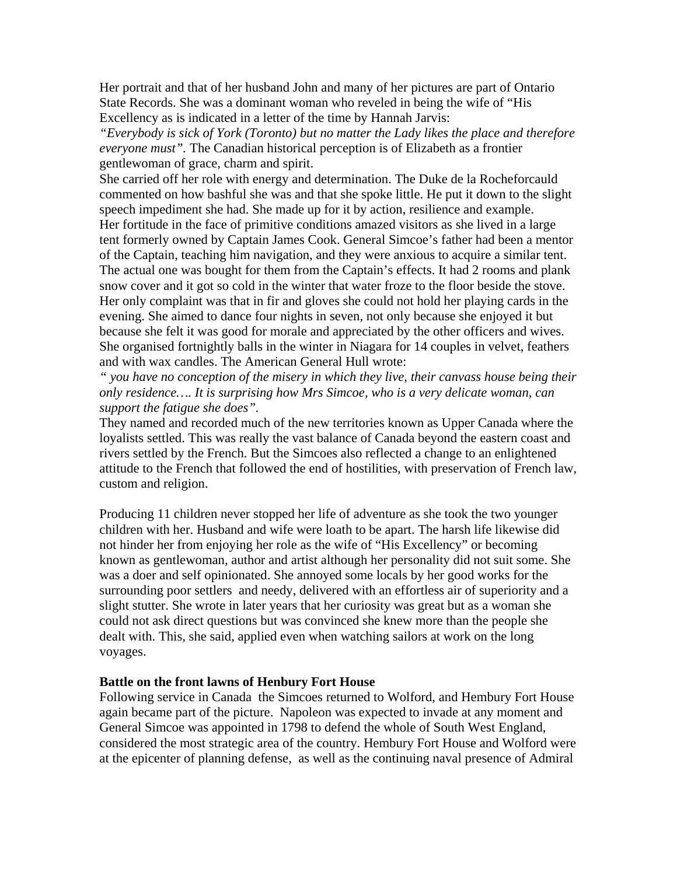Her portrait and that of her husband John and many of her pictures are part of Ontario State Records. She was a dominant woman who reveled in being the wife of "His Excellency as is indicated in a letter of the time by Hannah Jarvis:

*"Everybody is sick of York (Toronto) but no matter the Lady likes the place and therefore everyone must".* The Canadian historical perception is of Elizabeth as a frontier gentlewoman of grace, charm and spirit.

She carried off her role with energy and determination. The Duke de la Rocheforcauld commented on how bashful she was and that she spoke little. He put it down to the slight speech impediment she had. She made up for it by action, resilience and example. Her fortitude in the face of primitive conditions amazed visitors as she lived in a large tent formerly owned by Captain James Cook. General Simcoe's father had been a mentor of the Captain, teaching him navigation, and they were anxious to acquire a similar tent. The actual one was bought for them from the Captain's effects. It had 2 rooms and plank snow cover and it got so cold in the winter that water froze to the floor beside the stove. Her only complaint was that in fir and gloves she could not hold her playing cards in the evening. She aimed to dance four nights in seven, not only because she enjoyed it but because she felt it was good for morale and appreciated by the other officers and wives. She organised fortnightly balls in the winter in Niagara for 14 couples in velvet, feathers and with wax candles. The American General Hull wrote:

*" you have no conception of the misery in which they live, their canvass house being their only residence…. It is surprising how Mrs Simcoe, who is a very delicate woman, can support the fatigue she does".* 

They named and recorded much of the new territories known as Upper Canada where the loyalists settled. This was really the vast balance of Canada beyond the eastern coast and rivers settled by the French. But the Simcoes also reflected a change to an enlightened attitude to the French that followed the end of hostilities, with preservation of French law, custom and religion.

Producing 11 children never stopped her life of adventure as she took the two younger children with her. Husband and wife were loath to be apart. The harsh life likewise did not hinder her from enjoying her role as the wife of "His Excellency" or becoming known as gentlewoman, author and artist although her personality did not suit some. She was a doer and self opinionated. She annoyed some locals by her good works for the surrounding poor settlers and needy, delivered with an effortless air of superiority and a slight stutter. She wrote in later years that her curiosity was great but as a woman she could not ask direct questions but was convinced she knew more than the people she dealt with. This, she said, applied even when watching sailors at work on the long voyages.

#### **Battle on the front lawns of Henbury Fort House**

Following service in Canada the Simcoes returned to Wolford, and Hembury Fort House again became part of the picture. Napoleon was expected to invade at any moment and General Simcoe was appointed in 1798 to defend the whole of South West England, considered the most strategic area of the country. Hembury Fort House and Wolford were at the epicenter of planning defense, as well as the continuing naval presence of Admiral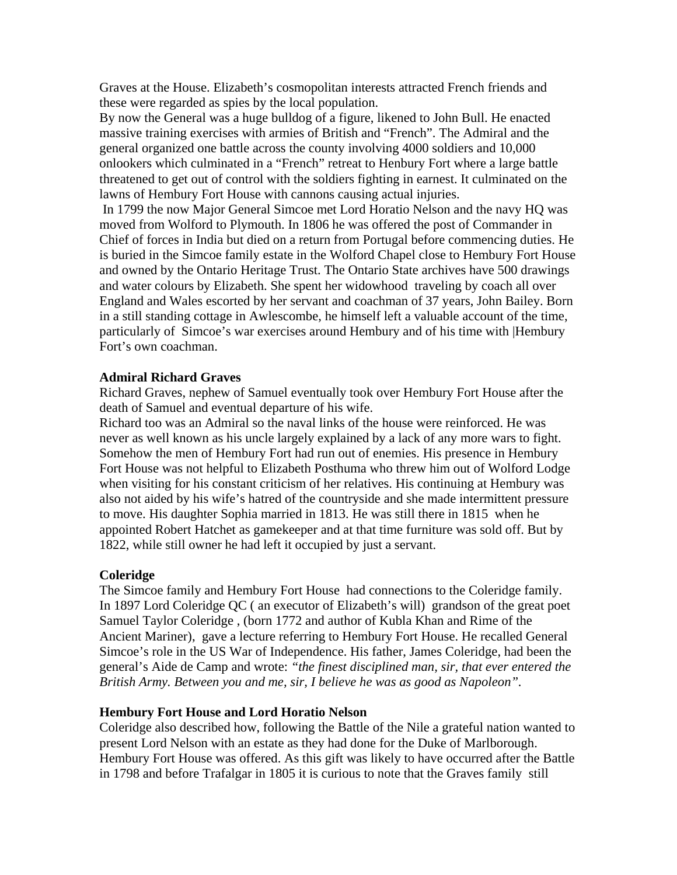Graves at the House. Elizabeth's cosmopolitan interests attracted French friends and these were regarded as spies by the local population.

By now the General was a huge bulldog of a figure, likened to John Bull. He enacted massive training exercises with armies of British and "French". The Admiral and the general organized one battle across the county involving 4000 soldiers and 10,000 onlookers which culminated in a "French" retreat to Henbury Fort where a large battle threatened to get out of control with the soldiers fighting in earnest. It culminated on the lawns of Hembury Fort House with cannons causing actual injuries.

 In 1799 the now Major General Simcoe met Lord Horatio Nelson and the navy HQ was moved from Wolford to Plymouth. In 1806 he was offered the post of Commander in Chief of forces in India but died on a return from Portugal before commencing duties. He is buried in the Simcoe family estate in the Wolford Chapel close to Hembury Fort House and owned by the Ontario Heritage Trust. The Ontario State archives have 500 drawings and water colours by Elizabeth. She spent her widowhood traveling by coach all over England and Wales escorted by her servant and coachman of 37 years, John Bailey. Born in a still standing cottage in Awlescombe, he himself left a valuable account of the time, particularly of Simcoe's war exercises around Hembury and of his time with |Hembury Fort's own coachman.

## **Admiral Richard Graves**

Richard Graves, nephew of Samuel eventually took over Hembury Fort House after the death of Samuel and eventual departure of his wife.

Richard too was an Admiral so the naval links of the house were reinforced. He was never as well known as his uncle largely explained by a lack of any more wars to fight. Somehow the men of Hembury Fort had run out of enemies. His presence in Hembury Fort House was not helpful to Elizabeth Posthuma who threw him out of Wolford Lodge when visiting for his constant criticism of her relatives. His continuing at Hembury was also not aided by his wife's hatred of the countryside and she made intermittent pressure to move. His daughter Sophia married in 1813. He was still there in 1815 when he appointed Robert Hatchet as gamekeeper and at that time furniture was sold off. But by 1822, while still owner he had left it occupied by just a servant.

## **Coleridge**

The Simcoe family and Hembury Fort House had connections to the Coleridge family. In 1897 Lord Coleridge QC ( an executor of Elizabeth's will) grandson of the great poet Samuel Taylor Coleridge , (born 1772 and author of Kubla Khan and Rime of the Ancient Mariner), gave a lecture referring to Hembury Fort House. He recalled General Simcoe's role in the US War of Independence. His father, James Coleridge, had been the general's Aide de Camp and wrote: *"the finest disciplined man, sir, that ever entered the British Army. Between you and me, sir, I believe he was as good as Napoleon".*

# **Hembury Fort House and Lord Horatio Nelson**

Coleridge also described how, following the Battle of the Nile a grateful nation wanted to present Lord Nelson with an estate as they had done for the Duke of Marlborough. Hembury Fort House was offered. As this gift was likely to have occurred after the Battle in 1798 and before Trafalgar in 1805 it is curious to note that the Graves family still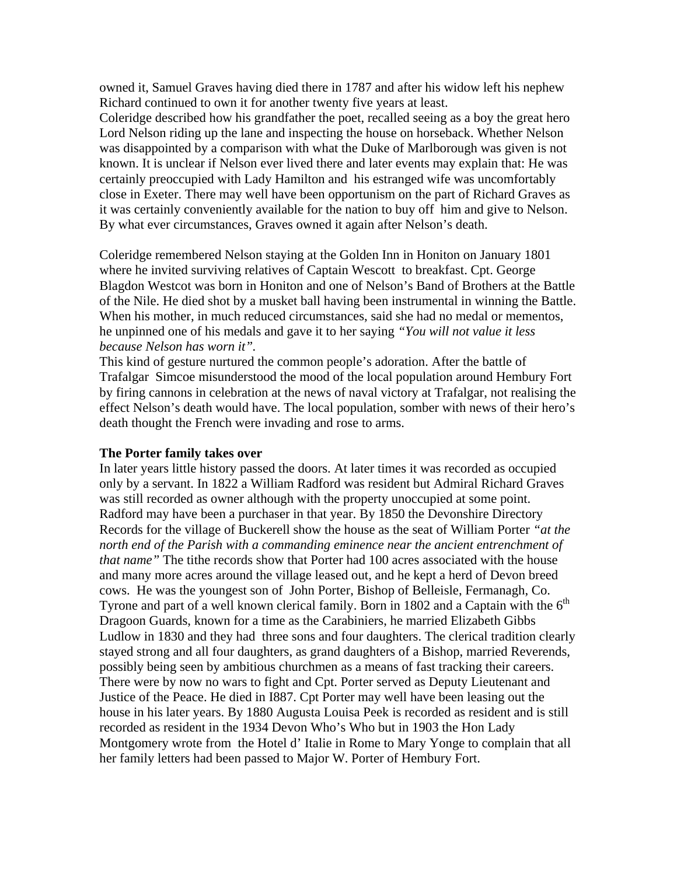owned it, Samuel Graves having died there in 1787 and after his widow left his nephew Richard continued to own it for another twenty five years at least.

Coleridge described how his grandfather the poet, recalled seeing as a boy the great hero Lord Nelson riding up the lane and inspecting the house on horseback. Whether Nelson was disappointed by a comparison with what the Duke of Marlborough was given is not known. It is unclear if Nelson ever lived there and later events may explain that: He was certainly preoccupied with Lady Hamilton and his estranged wife was uncomfortably close in Exeter. There may well have been opportunism on the part of Richard Graves as it was certainly conveniently available for the nation to buy off him and give to Nelson. By what ever circumstances, Graves owned it again after Nelson's death.

Coleridge remembered Nelson staying at the Golden Inn in Honiton on January 1801 where he invited surviving relatives of Captain Wescott to breakfast. Cpt. George Blagdon Westcot was born in Honiton and one of Nelson's Band of Brothers at the Battle of the Nile. He died shot by a musket ball having been instrumental in winning the Battle. When his mother, in much reduced circumstances, said she had no medal or mementos, he unpinned one of his medals and gave it to her saying *"You will not value it less because Nelson has worn it".*

This kind of gesture nurtured the common people's adoration. After the battle of Trafalgar Simcoe misunderstood the mood of the local population around Hembury Fort by firing cannons in celebration at the news of naval victory at Trafalgar, not realising the effect Nelson's death would have. The local population, somber with news of their hero's death thought the French were invading and rose to arms.

#### **The Porter family takes over**

In later years little history passed the doors. At later times it was recorded as occupied only by a servant. In 1822 a William Radford was resident but Admiral Richard Graves was still recorded as owner although with the property unoccupied at some point. Radford may have been a purchaser in that year. By 1850 the Devonshire Directory Records for the village of Buckerell show the house as the seat of William Porter *"at the north end of the Parish with a commanding eminence near the ancient entrenchment of that name"* The tithe records show that Porter had 100 acres associated with the house and many more acres around the village leased out, and he kept a herd of Devon breed cows. He was the youngest son of John Porter, Bishop of Belleisle, Fermanagh, Co. Tyrone and part of a well known clerical family. Born in 1802 and a Captain with the  $6<sup>th</sup>$ Dragoon Guards, known for a time as the Carabiniers, he married Elizabeth Gibbs Ludlow in 1830 and they had three sons and four daughters. The clerical tradition clearly stayed strong and all four daughters, as grand daughters of a Bishop, married Reverends, possibly being seen by ambitious churchmen as a means of fast tracking their careers. There were by now no wars to fight and Cpt. Porter served as Deputy Lieutenant and Justice of the Peace. He died in I887. Cpt Porter may well have been leasing out the house in his later years. By 1880 Augusta Louisa Peek is recorded as resident and is still recorded as resident in the 1934 Devon Who's Who but in 1903 the Hon Lady Montgomery wrote from the Hotel d' Italie in Rome to Mary Yonge to complain that all her family letters had been passed to Major W. Porter of Hembury Fort.